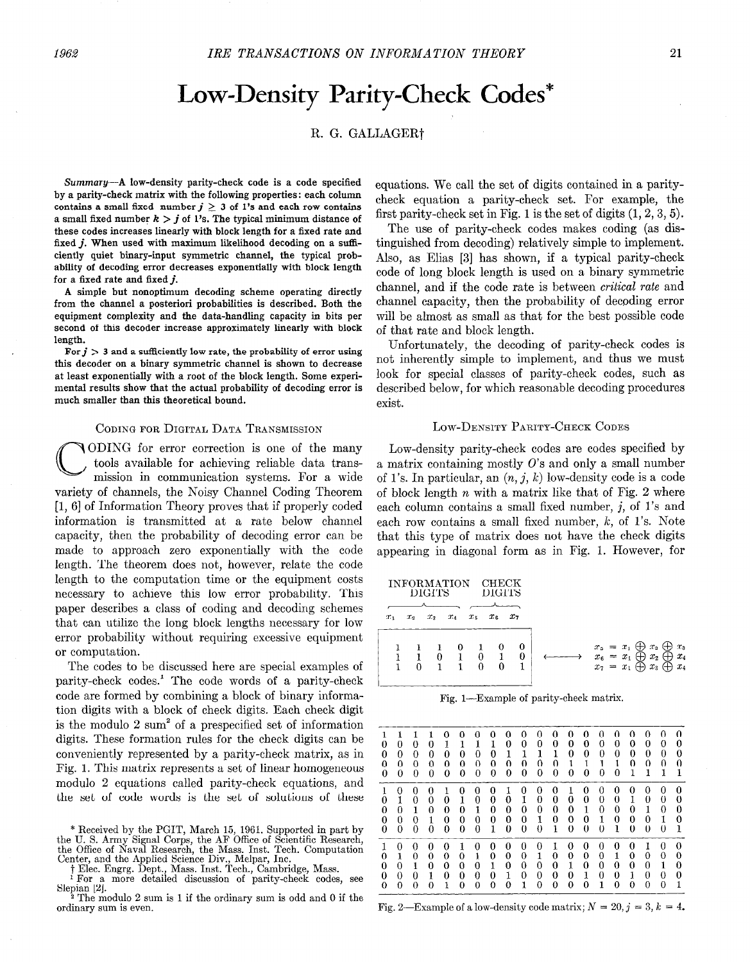# Low-Density Parity-Check Codes\*

# R. G. GALLAGER†

Summary-A low-density parity-check code is a code specified by a parity-check matrix with the following properties : each column contains a small fixed number  $j \geq 3$  of 1's and each row contains a small fixed number  $k > j$  of 1's. The typical minimum distance of these codes increases linearly with block length for a fixed rate and fixed  $j$ . When used with maximum likelihood decoding on a sufficiently quiet binary-input symmetric channel, the typical probability of decoding error decreases exponentially with block length for a fixed rate and fixed  $j$ .

A simple but nonoptimum decoding scheme operating directly from the channel a posteriori probabilities is described. Both the equipment complexity and the data-handling capacity in bits per second of this decoder increase approximately linearly with block length.

For  $j > 3$  and a sufficiently low rate, the probability of error using this decoder on a binary symmetric channel is shown to decrease at least exponentially with a root of the block length. Some experimental results show that the actual probability of decoding error is much smaller than this theoretical bound.

## CODING FOR DIGITAL DATA TRANSMISSION LOW-DENSITY PARITY-CHECK CODES

c ODING for error correction is one of the many tools available for achieving reliable data transmission in communication systems. For a wide variety of channels, the Noisy Channel Coding Theorem [l, 61 of Information Theory proves that if properly coded information is transmitted at a rate below channel capacity, then the probability of decoding error can be made to approach zero exponentially with the code length. The theorem does not, however, relate the code length to the computation time or the equipment costs necessary to achieve this low error probability. This paper describes a class of coding and decoding schemes that can utilize the long block lengths necessary for low error probability without requiring excessive equipment or computation.

The codes to be discussed here are special examples of parity-check codes.' The code words of a parity-check code are formed by combining a block of binary information digits with a block of check digits. Each check digit is the modulo 2 sum' of a prespecified set of information digits. These formation rules for the check digits can be conveniently represented by a parity-check matrix, as in Fig. 1. This matrix represents a set of linear homogeneous modulo 2 equations called parity-check equations, and the set of code words is the set of solutions of these

\* Received by the PGIT, March 15, 1961. Supported in part by the U. S. Army Signal Corps, the AF Office of Scientific Research, the Office of Naval Research, the Mass. Inst. Tech. Computation Center, and the Applied Science Div., Melpar, Inc.<br>† Elec. Engrg. Dept., Mass. Inst. Tech., Cambridge, Mass.<br><sup>1</sup> For a more detailed discussion of parity-check codes, see

Slepian [2].<br><sup>2</sup> The modulo 2 sum is 1 if the ordinary sum is odd and 0 if the

ordinary sum is even. Fig. 2-Example of a low-density code matrix;  $N = 20, j = 3, k = 4$ .

equations. We call the set of digits contained in a paritycheck equation a parity-check set. For example, the first parity-check set in Fig. 1 is the set of digits (1,2,3,5).

The use of parity-check codes makes coding (as distinguished from decoding) relatively simple to implement. Also, as Elias [3] has shown, if a typical parity-check code of long block length is used on a binary symmetric channel, and if the code rate is between critical rate and channel capacity, then the probability of decoding error will be almost as small as that for the best possible code of that rate and block length.

Unfortunately, the decoding of parity-check codes is not inherently simple to implement, and thus we must look for special classes of parity-check codes, such as described below, for which reasonable decoding procedures exist.

Low-density parity-check codes are codes specified by a matrix containing mostly  $O$ 's and only a small number of 1's. In particular, an  $(n, j, k)$  low-density code is a code of block length  $n$  with a matrix like that of Fig. 2 where each column contains a small fixed number, *i*, of 1's and each row contains a small fixed number,  $k$ , of 1's. Note that this type of matrix does not have the check digits appearing in diagonal form as in Fig. 1. However, for

|       | INFORMATION<br>DIGITS |       |         |         | CHECK<br><b>DIGITS</b> |                  |
|-------|-----------------------|-------|---------|---------|------------------------|------------------|
| $x_1$ | $x_{2}$               | $x_3$ | $x_{4}$ | $x_{5}$ | $x_{\mathfrak{s}}$     | $\mathfrak{x}_7$ |
|       |                       | 0     |         | 0       |                        | 0<br>0           |

Fig. l-Example of parity-check matrix.

| 0<br>0<br>0<br>0      | 1<br>0<br>0<br>0<br>0        | 0<br>0<br>0<br>0             | 0<br>0<br>0<br>$\bf{0}$          | 0<br>1<br>0<br>0<br>0                       | 0<br>$\mathbf{1}$<br>0<br>0<br>0 | 0<br>1<br>0<br>0<br>0                   | 0<br>1<br>0<br>0<br>$\bf{0}$               | 0<br>0<br>1<br>$\theta$<br>0 | 0<br>0<br>1<br>$\bf{0}$<br>0     | 0<br>0<br>$\mathbf{1}$<br>$\theta$<br>0 | 0<br>$\theta$<br>1<br>$\theta$<br>$\theta$ | 0<br>0<br>0<br>$\mathbf{1}$<br>$\bf{0}$           | 0<br>$\bf{0}$<br>0<br>$\mathbf{1}$<br>$\bf{0}$        | 0<br>$\bf{0}$<br>0<br>$\bf{1}$<br>0     | 0<br>0<br>0<br>1<br>$\bf{0}$        | 0<br>0<br>0<br>0<br>1               | 0<br>0<br>0<br>1                    | 0<br>0<br>0<br>1                           | 0<br>0<br>0<br>0<br>1                                 |
|-----------------------|------------------------------|------------------------------|----------------------------------|---------------------------------------------|----------------------------------|-----------------------------------------|--------------------------------------------|------------------------------|----------------------------------|-----------------------------------------|--------------------------------------------|---------------------------------------------------|-------------------------------------------------------|-----------------------------------------|-------------------------------------|-------------------------------------|-------------------------------------|--------------------------------------------|-------------------------------------------------------|
| 1<br>0<br>0<br>0<br>0 | 0<br>1<br>0<br>0<br>0        | 0<br>0<br>1<br>0<br>$\bf{0}$ | 0<br>0<br>0<br>$\mathbf{1}$<br>0 | 1.<br>$\theta$<br>0<br>$\bf{0}$<br>$\bf{0}$ | 0<br>$\mathbf{1}$<br>0<br>0<br>0 | 0<br>0<br>$\mathbf{1}$<br>$\bf{0}$<br>0 | 0<br>$\bf{0}$<br>$\bf{0}$<br>$\bf{0}$<br>1 | 1<br>0<br>0<br>0<br>0        | 0<br>$\mathbf{1}$<br>0<br>0<br>0 | 0<br>0<br>0<br>-1<br>0                  | 0<br>0<br>$\theta$<br>$\bf{0}$<br>1        | 1<br>$\bf{0}$<br>$\bf{0}$<br>$\bf{0}$<br>$\theta$ | 0<br>$\bf{0}$<br>$\mathbf{1}$<br>$\bf{0}$<br>$\bf{0}$ | 0<br>$\bf{0}$<br>$\bf{0}$<br>1<br>0     | 0<br>$\bf{0}$<br>0<br>$\bf{0}$<br>1 | $\theta$<br>1<br>$\bf{0}$<br>0<br>0 | 0<br>$\bf{0}$<br>1<br>$\bf{0}$<br>0 | 0<br>$\theta$<br>$\bf{0}$<br>1<br>$\bf{0}$ | 0<br>$\theta$<br>$\bf{0}$<br>$\mathbf 0$<br>1         |
| 0<br>0<br>0<br>0      | 0<br>1<br>$\bf{0}$<br>0<br>0 | 0<br>0<br>1<br>0<br>0        | 0<br>0<br>0<br>1<br>$\Omega$     | 0<br>0<br>0<br>0<br>$\mathbf{1}$            | 1<br>$\mathbf 0$<br>0<br>0<br>0  | 0<br>1<br>0<br>0<br>$\Omega$            | 0<br>0<br>1<br>$\bf{0}$<br>0               | 0<br>0<br>0<br>1<br>0        | 0<br>0<br>0<br>0<br>$\mathbf{1}$ | 0<br>1<br>0<br>0<br>0                   | -1.<br>$\theta$<br>0<br>0<br>0             | 0<br>$\bf{0}$<br>1<br>$\bf{0}$<br>0               | 0<br>$\mathbf{0}$<br>0<br>1<br>$\bf{0}$               | 0<br>$\mathbf{0}$<br>0<br>$\bf{0}$<br>1 | 0<br>1<br>0<br>0<br>0               | 0<br>0<br>0<br>1<br>$\theta$        | 1<br>0<br>0<br>0<br>$\mathbf 0$     | 0<br>0<br>1<br>0<br>0                      | $\theta$<br>$\bf{0}$<br>$\bf{0}$<br>0<br>$\mathbf{1}$ |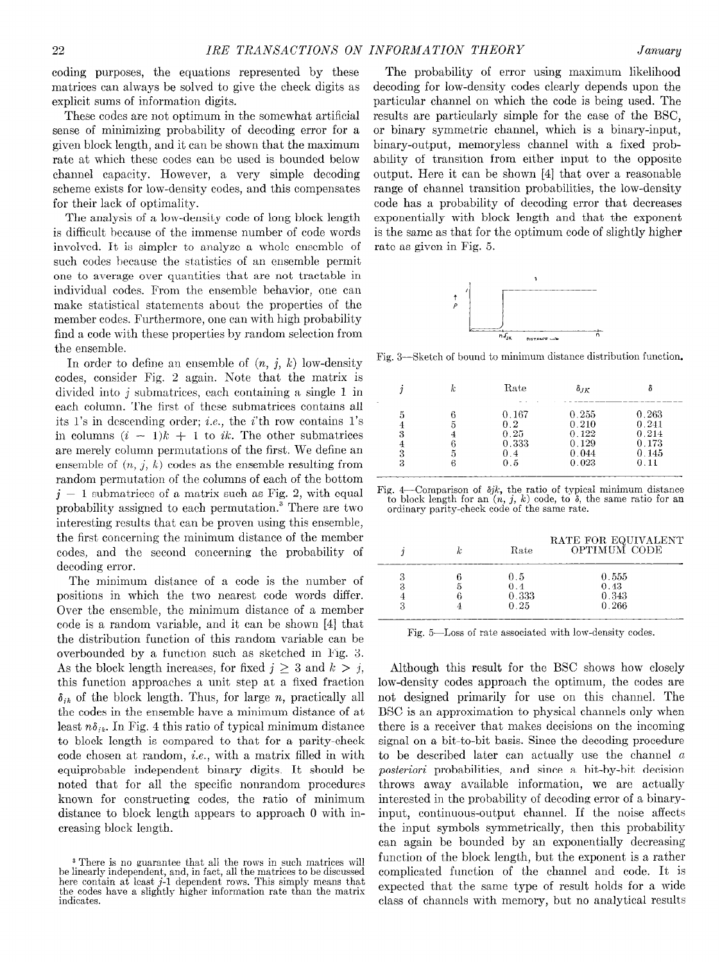coding purposes, the equations represented by these matrices can always be solved to give the check digits as explicit sums of information digits.

These codes are not optimum in the somewhat artificial sense of minimizing probability of decoding error for a given block length, and it can be shown that the maximum rate at which these codes can be used is bounded below channel capacity. However, a very simple decoding scheme exists for low-density codes, and this compensates for their lack of optimality.

The analysis of a low-density code of long block length is difficult because of the immense number of code words involved. It is simpler to analyze a whole ensemble of such codes because the statistics of an ensemble permit one to average over quantities that are not tractable in individual codes. From the ensemble behavior, one can make statistical statements about the properties of the member codes. Furthermore, one can with high probability find a code with these properties by random selection from the ensemble.

In order to define an ensemble of  $(n, j, k)$  low-density codes, consider Fig. 2 again. Xote that the matrix is divided into j submatrices, each containing a single 1 in each column. The first of these submatrices contains all its 1's in descending order; *i.e.*, the *i*'th row contains 1's in columns  $(i - 1)k + 1$  to ik. The other submatrices are merely column permutations of the first. We define an ensemble of  $(n, j, k)$  codes as the ensemble resulting from random permutation of the columns of each of the bottom  $j - 1$  submatrices of a matrix such as Fig. 2, with equal probability assigned to each permutation.<sup>3</sup> There are two interesting results that can be proven using this ensemble, the first concerning the minimum distance of the member codes, and the second concerning the probability of decoding error.

The minimum distance of a code is the number of positions in which the two nearest code words differ. Over the ensemble, the minimum distance of a member code is a random variable, and it can be shown [4] that the distribution function of this random variable can be overbounded by a function such as sketched in Fig. 3. As the block length increases, for fixed  $j \geq 3$  and  $k > j$ , this function approaches a unit step at a fixed fraction  $\delta_{ik}$  of the block length. Thus, for large n, practically all the codes in the ensemble have a minimum distance of at least  $n\delta_{ik}$ . In Fig. 4 this ratio of typical minimum distance to block length is compared to that for a parity-check code chosen at random, i.e., with a matrix filled in with equiprobable independent binary digits. It should be noted that for all the specific nonrandom procedures known for constructing codes, the ratio of minimum distance to block length appears to approach 0 with increasing block length.

The probability of error using maximum likelihood decoding for low-density codes clearly depends upon the particular channel on which the code is being used. The results are particularly simple for the case of the BSC, or binary symmetric channel, which is a binary-input, binary-output, memoryless channel with a fixed probability of transition from either input to the opposite output. Here it can be shown [4] that over a reasonable range of channel transition probabilities, the low-density code has a probability of decoding error that decreases exponentially with block length and that the exponent is the same as that for the optimum code of slightly higher rate as given in Fig. 5.



Fig. 3-Sketch of bound to minimum distance distribution function.

|        | k      | Rate                                        | $\delta_{JK}$                                      |                                                   |
|--------|--------|---------------------------------------------|----------------------------------------------------|---------------------------------------------------|
| 3<br>3 | 5<br>5 | 0.167<br>0.2<br>0.25<br>0.333<br>0.4<br>0.5 | 0.255<br>0.210<br>0.122<br>0.129<br>0.044<br>0.023 | 0.263<br>0.241<br>0.214<br>0.173<br>0.145<br>0.11 |

Fig. 4-Comparison of  $\delta jk$ , the ratio of typical minimum distance to block length for an  $(n, j, k)$  code, to  $\delta$ , the same ratio for an ordinary parity-check code of the same rate.

|   |   | Rate  | RATE FOR EQUIVALENT OPTIMUM CODE |
|---|---|-------|----------------------------------|
| 3 |   | 0.5   | 0.555                            |
| 3 | h | 0.4   | 0.43                             |
|   |   | 0.333 | 0.343                            |
| ິ |   | 0.25  | 0.266                            |
|   |   |       |                                  |

Fig. 5—Loss of rate associated with low-density codes.

Although this result for the BSC shows how closely low-density codes approach the optimum, the codes are not designed primarily for use on this channel. The BSC is an approximation to physical channels only when there is a receiver that makes decisions on the incoming signal on a bit-to-bit basis. Since the decoding procedure to be described later can actually use the channel  $a$ posteriori probabilities, and since a bit-by-bit decision throws away available information, we are actually interested in the probability of decoding error of a binaryinput, continuous-output channel. If the noise affects the input symbols symmetrically, then this probability can again be bounded by an exponentially decreasing function of the block length, but the exponent is a rather complicated function of the channel and code. It is expected that the same type of result holds for a wide class of channels with memory, but no analytical results

<sup>3</sup> There is no guarantee that all the rows in such matrices will be linearly independent, and, in fact, all the matrices to be discussed here contain at least j-1 dependent rows. This simply means that the codes have a slightly higher information rate than the matrix indicates.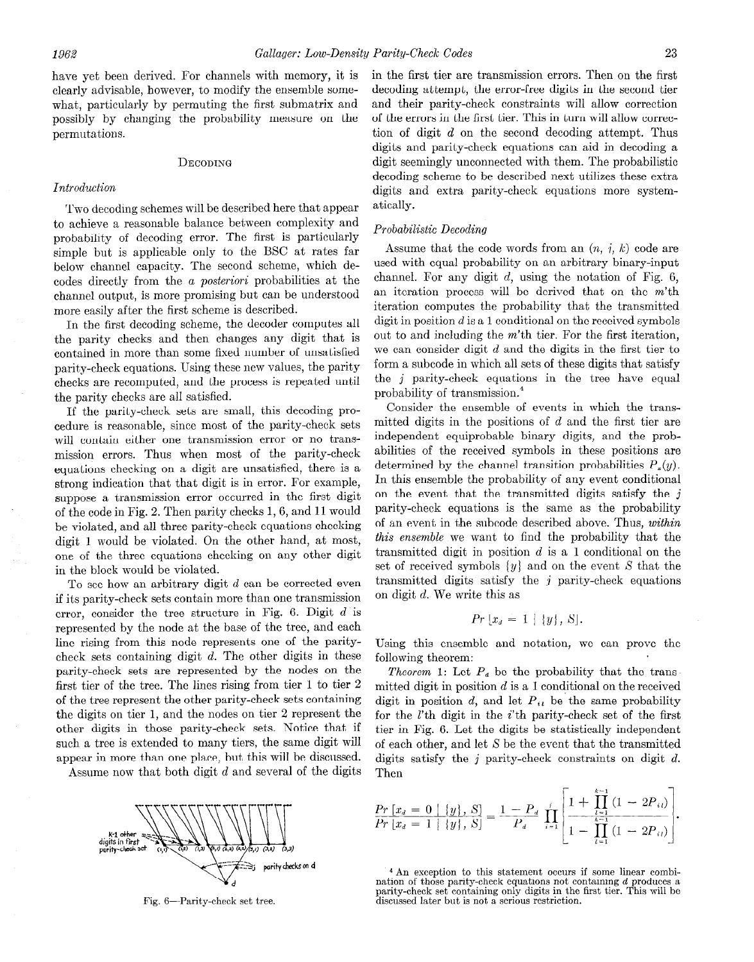have yet been derived. For channels with memory, it is clearly advisable, however, to modify the ensemble somewhat, particularly by permuting the first submatrix and possibly by changing the probability measure on the permutations.

#### DECODING

### Introduction

Two decoding schemes will be described here that appear to achieve a reasonable balance between complexity and probability of decoding error. The first is particularly simple but is applicable only to the BSC at rates far below channel capacity. The second scheme, which decodes directly from the a posteriori probabilities at the channel output, is more promising but can be understood more easily after the first scheme is described.

In the first decoding scheme, the decoder computes all the parity checks and then changes any digit that is contained in more than some fixed number of unsatisfied parity-check equations. Using these new values, the parity checks are recomputed, and the process is repeated until the parity checks are all satisfied.

If the parity-check sets are small, this decoding procedure is reasonable, since most of the parity-check sets will contain either one transmission error or no transmission errors. Thus when most of the parity-check equations checking on a digit are unsatisfied, there is a strong indication that that digit is in error. For example, suppose a transmission error occurred in the first digit of the code in Fig. 2. Then parity checks 1, 6, and 11 would be violated, and all three parity-check equations checking digit 1 would be violated. On the other hand, at most, one of the three equations checking on any other digit in the block would be violated.

To see how an arbitrary digit  $d$  can be corrected even if its parity-check sets contain more than one transmission error, consider the tree structure in Fig.  $6$ . Digit  $d$  is represented by the node at the base of the tree, and each line rising from this node represents one of the paritycheck sets containing digit  $d$ . The other digits in these parity-check sets are represented by the nodes on the first tier of the tree. The lines rising from tier 1 to tier 2 of the tree represent the other parity-check sets containing the digits on tier 1, and the nodes on tier 2 represent the other digits in those parity-check sets. Notice that if such a tree is extended to many tiers, the same digit will appear in more than one place, but this will be discussed.

Assume now that both digit d and several of the digits



Fig. 6-Parity-check set tree.

in the first tier are transmission errors. Then on the first decoding attempt, the error-free digits in the second tier and their parity-check constraints will allow correction of the errors in the first tier. This in turn will allow correction of digit d on the second decoding attempt. Thus digits and parity-check equations can aid in decoding a digit seemingly unconnected with them. The probabilistic decoding scheme to be described next utilizes these extra digits and extra parity-check equations more systematically.

#### Probabilistic Decoding

Assume that the code words from an  $(n, i, k)$  code are used with equal probability on an arbitrary binary-input channel. For any digit  $d$ , using the notation of Fig. 6, an iteration process will be derived that on the m'th iteration computes the probability that the transmitted digit in position  $d$  is a 1 conditional on the received symbols out to and including the m'th tier. For the first iteration, we can consider digit  $d$  and the digits in the first tier to form a subcode in which all sets of these digits that satisfy the  $i$  parity-check equations in the tree have equal probability of transmission.4

Consider the ensemble of events in which the transmitted digits in the positions of d and the first tier are independent equiprobable binary digits, and the probabilities of the received symbols in these positions are determined by the channel transition probabilities  $P_x(y)$ . In this ensemble the probability of any event conditional on the event that the transmitted digits satisfy the  $j$ parity-check equations is the same as the probability of an event in the subcode described above. Thus, within this ensemble we want to find the probability that the transmitted digit in position  $d$  is a 1 conditional on the set of received symbols  $\{y\}$  and on the event S that the transmitted digits satisfy the  $i$  parity-check equations on digit d. We write this as

$$
Pr[x_d = 1 | {y}, S].
$$

Using this ensemble and notation, we can prove the following theorem:

Theorem 1: Let  $P_d$  be the probability that the transmitted digit in position  $d$  is a 1 conditional on the received digit in position d, and let  $P_{i}$  be the same probability for the  $\ell$ <sup>th</sup> digit in the  $\ell$ <sup>th</sup> parity-check set of the first tier in Fig. 6. Let the digits be statistically independent of each other, and let X be the event that the transmitted digits satisfy the  $j$  parity-check constraints on digit  $d$ . Then

$$
\frac{Pr\left[x_a = 0 \mid \{y\}, S\right]}{Pr\left[x_a = 1 \mid \{y\}, S\right]} = \frac{1 - P_d}{P_d} \prod_{i=1}^{i} \left[ \frac{1 + \prod_{\substack{i=1 \\ i \neq i}}^{k-1} (1 - 2P_{i1})}{1 - \prod_{i=1}^{k-1} (1 - 2P_{i1})} \right].
$$

4 An exception to this statement occurs if some linear combination of those parity-check equations not containing d produces a parity-check set containing only digits in the first tier. This will be discussed later but is not a serious restriction.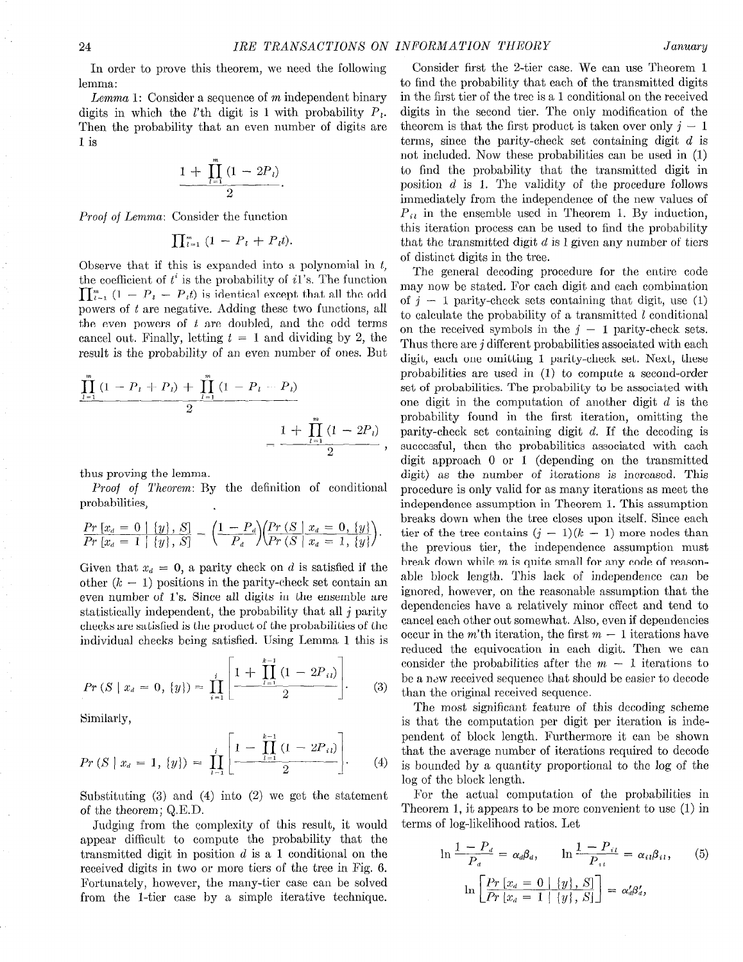In order to prove this theorem, we need the following lemma:

Lemma 1: Consider a sequence of m independent binary digits in which the *l*'th digit is 1 with probability  $P_i$ . Then the probability that an even number of digits are 1 is

$$
\frac{1+\prod\limits_{l=1}^m\left(1-2P_l\right)}{2}
$$

Proof of Lemma: Consider the function

$$
\prod_{l=1}^m (1-P_l+P_l t).
$$

Observe that if this is expanded into a polynomial in  $t$ , the coefficient of  $t^i$  is the probability of il's. The function  $\prod_{l=1}^m (1 - P_l - P_l t)$  is identical except that all the odd powers of t are negative. Adding these two functions, all the even powers of  $t$  are doubled, and the odd terms cancel out. Finally, letting  $t = 1$  and dividing by 2, the result is the probability of an even number of ones. But

$$
\frac{\prod_{l=1}^{m} (1 - P_l + P_l) + \prod_{l=1}^{m} (1 - P_l - P_l)}{2} = \frac{1 + \prod_{l=1}^{m} (1 - 2P_l)}{2},
$$

thus proving the lemma.

Proof of Theorem: By the definition of conditional probabilities,

$$
\frac{Pr[x_{d} = 0 | {y}, S]}{Pr[x_{d} = 1 | {y}, S]} = \left(\frac{1 - P_{d}}{P_{d}}\right) \left(\frac{Pr(S | x_{d} = 0, {y})}{Pr(S | x_{d} = 1, {y})}\right).
$$

Given that  $x_d = 0$ , a parity check on d is satisfied if the other  $(k - 1)$  positions in the parity-check set contain an even number of 1's. Since all digits in the ensemble are statistically independent, the probability that all j parity checks are satisfied is the product of the probabilities of the individual checks being satisfied. Using Lemma 1 this is

$$
Pr(S \mid x_{d} = 0, \{y\}) = \prod_{i=1}^{j} \left[ \frac{1 + \prod_{i=1}^{k-1} (1 - 2P_{i1})}{2} \right]. \tag{3}
$$

Similarly,

$$
Pr(S \mid x_a = 1, \{y\}) = \prod_{i=1}^{j} \left[ \frac{1 - \prod_{i=1}^{k-1} (1 - 2P_{i1})}{2} \right]. \tag{4}
$$

Substituting (3) and (4) into (2) we get the statement of the theorem; Q.E.D.

Judging from the complexity of this result, it would appear difficult to compute the probability that the transmitted digit in position  $d$  is a 1 conditional on the received digits in two or more tiers of the tree in Fig. 6. Fortunately, however, the many-tier case can be solved from the l-tier case by a simple iterative technique.

Consider first the 2-tier case. We can use Theorem 1 to find the probability that each of the transmitted digits in the first tier of the tree is a 1 conditional on the received digits in the second tier. The only modification of the theorem is that the first product is taken over only  $j - 1$ terms, since the parity-check set containing digit  $d$  is not included. Now these probabilities can be used in (1) to find the probability that the transmitted digit in position  $d$  is 1. The validity of the procedure follows immediately from the independence of the new values of  $P_{il}$  in the ensemble used in Theorem 1. By induction, this iteration process can be used to find the probability that the transmitted digit  $d$  is 1 given any number of tiers of distinct digits in the tree.

The general decoding procedure for the entire code may now be stated. For each digit and each combination of  $j - 1$  parity-check sets containing that digit, use (1) to calculate the probability of a transmitted  $l$  conditional on the received symbols in the  $j - 1$  parity-check sets. Thus there are j different probabilities associated with each digit, each one omitting 1 parity-check set. Next, these probabilities are used in (1) to compute a second-order set of probabilities. The probability to be associated with one digit in the computation of another digit  $d$  is the probability found in the first iteration, omitting the parity-check set containing digit d. If the decoding is successful, then the probabilities associated with each digit approach 0 or 1 (depending on the transmitted digit) as the number of iterations is increased. This procedure is only valid for as many iterations as meet the independence assumption in Theorem I. This assumption breaks down when the tree closes upon itself. Since each tier of the tree contains  $(j - 1)(k - 1)$  more nodes than the previous tier, the independence assumption must break down while  $m$  is quite small for any code of reasonable block length. This lack of independence can be ignored, however, on the reasonable assumption that the dependencies have a relatively minor effect and tend to cancel each other out somewhat. Also, even if dependencies occur in the m'th iteration, the first  $m-1$  iterations have reduced the equivocation in each digit. Then we can consider the probabilities after the  $m - 1$  iterations to be a new received sequence that should be easier to decode than the original received sequence.

The most significant feature of this decoding scheme is that the computation per digit per iteration is independent of block length. Furthermore it can be shown that the average number of iterations required to decode is bounded by a quantity proportional to the log of the log of the block length.

For the actual computation of the probabilities in Theorem 1, it appears to be more convenient to use  $(1)$  in terms of log-likelihood ratios. Let

$$
\ln \frac{1 - P_d}{P_d} = \alpha_d \beta_d, \qquad \ln \frac{1 - P_{il}}{P_{il}} = \alpha_{il} \beta_{il}, \qquad (5)
$$

$$
\ln \left[ \frac{Pr\left[x_d = 0 \mid \{y\}, S\right]}{Pr\left[x_d = 1 \mid \{y\}, S\right]} \right] = \alpha'_d \beta'_d,
$$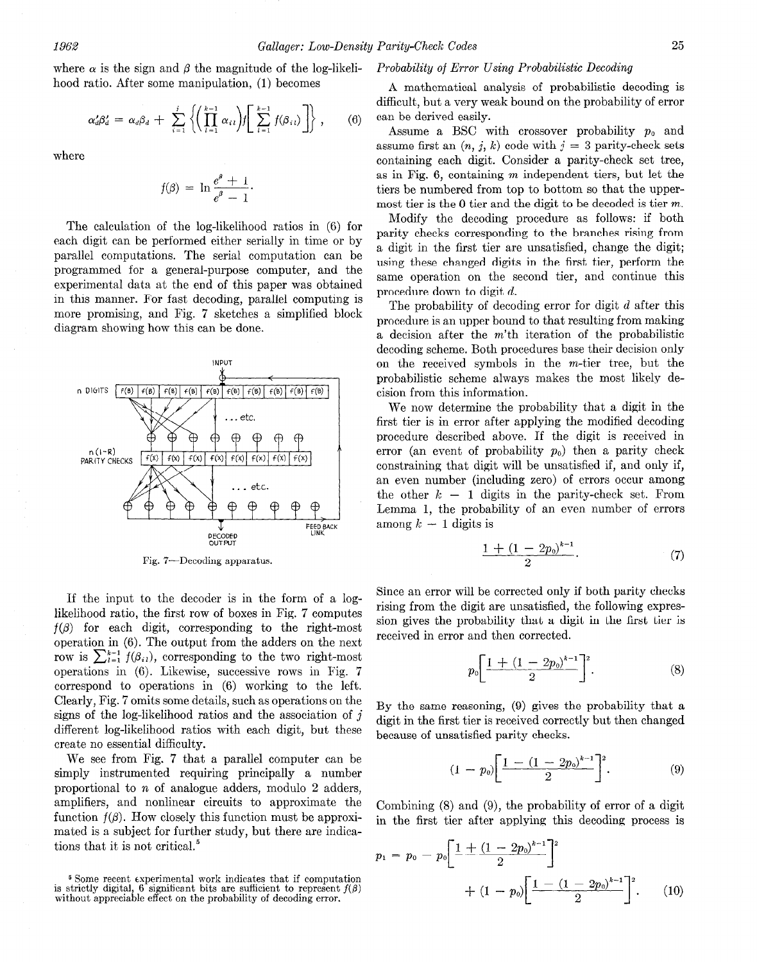where  $\alpha$  is the sign and  $\beta$  the magnitude of the log-likelihood ratio. After some manipulation, (1) becomes

$$
\alpha'_d \beta'_d = \alpha_d \beta_d + \sum_{i=1}^j \left\{ \left( \prod_{i=1}^{k-1} \alpha_{i\,i} \right) f \left[ \sum_{i=1}^{k-1} f(\beta_{i\,i}) \right] \right\} , \qquad (6)
$$

where

$$
f(\beta) = \ln \frac{e^{\beta} + 1}{e^{\beta} - 1}.
$$

The calculation of the log-likelihood ratios in (6) for each digit can be performed either serially in time or by parallel computations. The serial computation can be programmed for a general-purpose computer, and the experimental data at the end of this paper was obtained in this manner. For fast decoding, parallel computing is more promising, and Fig. 7 sketches a simplified block diagram showing how this can be done.



Fig. 7-Decoding apparatus.

If the input to the decoder is in the form of a loglikelihood ratio, the first row of boxes in Fig. 7 computes  $f(\beta)$  for each digit, corresponding to the right-most operation in (6). The output from the adders on the next row is  $\sum_{i=1}^{k-1} f(\beta_{i})$ , corresponding to the two right-most operations in (6). Likewise, successive rows in Fig. 7 correspond to operations in (6) working to the left. Clearly, Fig. 7 omits some details, such as operations on the signs of the log-likelihood ratios and the association of j different log-likelihood ratios with each digit, but these create no essential difficulty.

We see from Fig. 7 that a parallel computer can be simply instrumented requiring principally a number proportional to n of analogue adders, modulo 2 adders, amplifiers, and nonlinear circuits to approximate the function  $f(\beta)$ . How closely this function must be approximated is a subject for further study, but there are indications that it is not critical.<sup>5</sup>

#### Probability of Error Using Probabilistic Decoding

A mathematical analysis of probabilistic decoding is difficult, but a very weak bound on the probability of error can be derived easily.

Assume a BSC with crossover probability  $p_0$  and assume first an  $(n, j, k)$  code with  $j = 3$  parity-check sets containing each digit. Consider a parity-check set tree, as in Fig. 6, containing m independent tiers, but let the tiers be numbered from top to bottom so that the uppermost tier is the 0 tier and the digit to be decoded is tier m.

Modify the decoding procedure as follows: if both parity checks corresponding to the branches rising from a digit in the first tier are unsatisfied, change the digit; using these changed digits in the first tier, perform the same operation on the second tier, and continue this procedure down to digit d.

The probability of decoding error for digit  $d$  after this procedure is an upper bound to that resulting from making a decision after the m'th iteration of the probabilistic decoding scheme. Both procedures base their decision only on the received symbols in the m-tier tree, but the probabilistic scheme always makes the most likely decision from this information.

We now determine the probability that a digit in the first tier is in error after applying the modified decoding procedure described above. If the digit is received in error (an event of probability  $p_0$ ) then a parity check constraining that digit will be unsatisfied if, and only if, an even number (including zero) of errors occur among the other  $k - 1$  digits in the parity-check set. From Lemma 1, the probability of an even number of errors among  $k - 1$  digits is

$$
\frac{1+(1-2p_0)^{k-1}}{2}.
$$
 (7)

Since an error will be corrected only if both parity checks rising from the digit are unsatisfied, the following expression gives the probability that a digit in the first tier is received in error and then corrected.

$$
p_0 \left[ \frac{1 + (1 - 2p_0)^{k-1}}{2} \right]^2.
$$
 (8)

By the same reasoning, (9) gives the probability that a digit in the first tier is received correctly but then changed because of unsatisfied parity checks.

$$
(1-p_0)\left[\frac{1-(1-2p_0)^{k-1}}{2}\right]^2.
$$
 (9)

Combining (8) and (9), the probability of error of a digit in the first tier after applying this decoding process is

$$
p_1 = p_0 - p_0 \left[ \frac{1 + (1 - 2p_0)^{k-1}}{2} \right]^2 + (1 - p_0) \left[ \frac{1 - (1 - 2p_0)^{k-1}}{2} \right]^2.
$$
 (10)

<sup>&</sup>lt;sup>5</sup> Some recent experimental work indicates that if computation is strictly digital, 6 significant bits are sufficient to represent  $f(\beta)$ without appreciable effect on the probability of decoding error.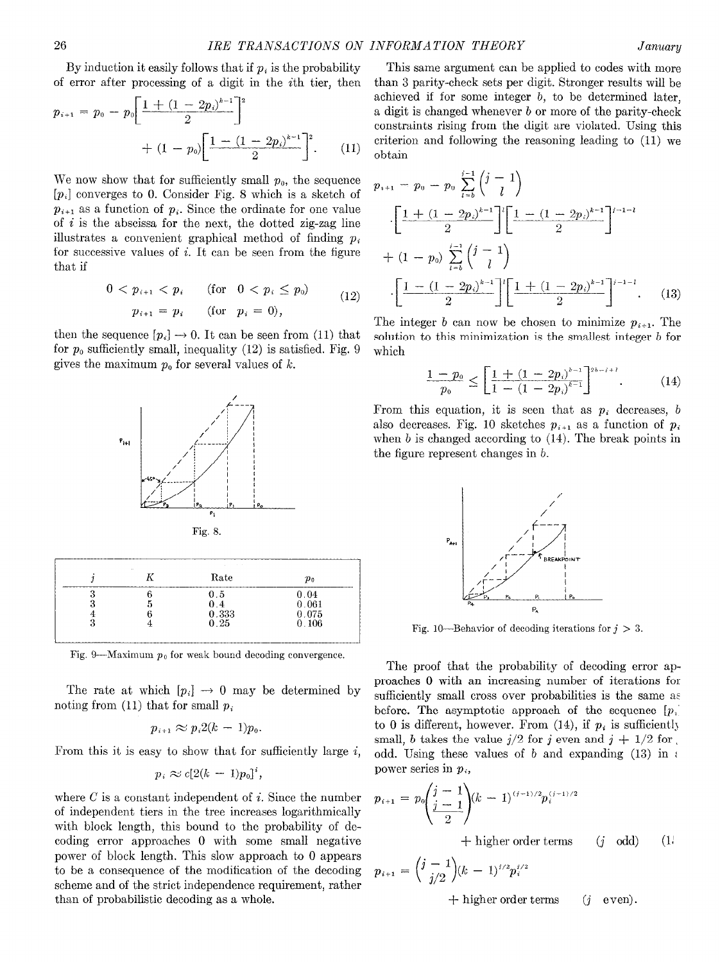By induction it easily follows that if  $p_i$  is the probability of error after processing of a digit in the ith tier, then

$$
p_{i+1} = p_0 - p_0 \left[ \frac{1 + (1 - 2p_i)^{k-1}}{2} \right]^2
$$
 a digit  
+  $(1 - p_0) \left[ \frac{1 - (1 - 2p_i)^{k-1}}{2} \right]^2$ . (11) criteria  
+  $(1 - p_0) \left[ \frac{1 - (1 - 2p_i)^{k-1}}{2} \right]^2$ .

We now show that for sufficiently small  $p_0$ , the sequence  $[p_i]$  converges to 0. Consider Fig. 8 which is a sketch of  $p_{i+1}$  as a function of  $p_i$ . Since the ordinate for one value of  $i$  is the abscissa for the next, the dotted zig-zag line illustrates a convenient graphical method of finding  $p_i$ for successive values of  $i$ . It can be seen from the figure that if

$$
0 < p_{i+1} < p_i \qquad \text{(for} \quad 0 < p_i \le p_0) \\
 p_{i+1} = p_i \qquad \text{(for} \quad p_i = 0), \tag{12}
$$

then the sequence  $[p_i] \rightarrow 0$ . It can be seen from (11) that for  $p_0$  sufficiently small, inequality (12) is satisfied. Fig. 9 gives the maximum  $p_0$  for several values of k.



| I |  |
|---|--|
|---|--|

| 10.00 | and the control<br>Rate | р,    |
|-------|-------------------------|-------|
|       | 0.5                     | 0.04  |
|       | 0.4                     | 0.061 |
|       | 0.333                   | 0.075 |
|       | 0.25                    | 0.106 |

Fig. 9—Maximum  $p_0$  for weak bound decoding convergence.

The rate at which  $[p_i] \rightarrow 0$  may be determined by noting from (11) that for small  $p_i$ 

$$
p_{i+1} \approx p_i 2(k-1)p_0.
$$

From this it is easy to show that for sufficiently large  $i$ ,

$$
p_i \approx c[2(k-1)p_0]^i,
$$

where  $C$  is a constant independent of  $i$ . Since the number of independent tiers in the tree increases logarithmically with block length, this bound to the probability of decoding error approaches 0 with some small negative power of block length. This slow approach to 0 appears to be a consequence of the modification of the decoding scheme and of the strict independence requirement, rather than of probabilistic decoding as a whole.

This same argument can be applied to codes with more than 3 parity-check sets per digit. Stronger results will be achieved if for some integer  $b$ , to be determined later, a digit is changed whenever b or more of the parity-check constraints rising from the digit are violated. Using this criterion and following the reasoning leading to (11) we obtain

$$
p_{i+1} = p_0 - p_0 \sum_{l=b}^{i-1} {j-1 \choose l}
$$
  
\n
$$
\cdot \left[ \frac{1 + (1 - 2p_i)^{k-1}}{2} \right]^l \left[ \frac{1 - (1 - 2p_i)^{k-1}}{2} \right]^{j-1-l}
$$
  
\n
$$
+ (1 - p_0) \sum_{l=b}^{i-1} {j-1 \choose l}
$$
  
\n
$$
\cdot \left[ \frac{1 - (1 - 2p_i)^{k-1}}{2} \right]^l \left[ \frac{1 + (1 - 2p_i)^{k-1}}{2} \right]^{j-1-l}.
$$
 (13)

The integer b can now be chosen to minimize  $p_{i+1}$ . The solution to this minimization is the smallest integer b for which

$$
\frac{1-p_0}{p_0} \le \left[\frac{1+(1-2p_i)^{k-1}}{1-(1-2p_i)^{k-1}}\right]^{2^{k-i+1}}.\tag{14}
$$

From this equation, it is seen that as  $p_i$  decreases, b also decreases. Fig. 10 sketches  $p_{i+1}$  as a function of  $p_i$ when  $b$  is changed according to  $(14)$ . The break points in the figure represent changes in  $b$ .



Fig. 10—Behavior of decoding iterations for  $j > 3$ .

The proof that the probability of decoding error approaches 0 with an increasing number of iterations for sufficiently small cross over probabilities is the same as before. The asymptotic approach of the sequence  $[p_i]$ to 0 is different, however. From (14), if  $p_i$  is sufficiently small, b takes the value  $j/2$  for j even and  $j + 1/2$  for odd. Using these values of b and expanding  $(13)$  in  $\epsilon$ power series in  $p_i$ ,

$$
p_{i+1} = p_0 \left( \frac{j-1}{2} \right) (k-1)^{(i-1)/2} p_i^{(i-1)/2}
$$
  
+ higher order terms (j odd) (1)

$$
p_{i+1} = {j-1 \choose j/2} (k-1)^{j/2} p_i^{j/2}
$$

 $+$  higher order terms (*j* even).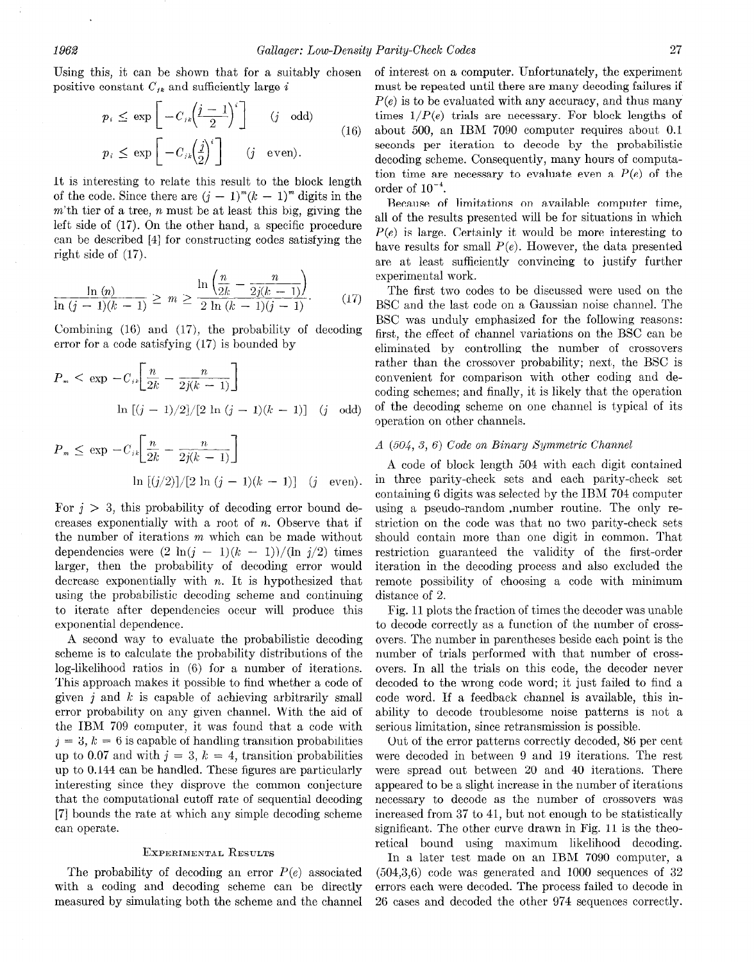Using this, it can be shown that for a suitably chosen positive constant  $C_{ik}$  and sufficiently large i

$$
p_i \le \exp\left[-C_{ik}\left(\frac{j-1}{2}\right)^i\right] \qquad (j \text{ odd})
$$
  

$$
p_i \le \exp\left[-C_{ik}\left(\frac{j}{2}\right)^i\right] \qquad (j \text{ even}).
$$
 (16)

It is interesting to relate this result to the block length of the code. Since there are  $(i - 1)^m (k - 1)^m$  digits in the m'th tier of a tree, n must be at least this big, giving the left side of (17). On the other hand, a specific procedure can be described [4] for constructing codes satisfying the right side of (17).

$$
\frac{\ln(n)}{\ln (j-1)(k-1)} \ge m \ge \frac{\ln\left(\frac{n}{2k} - \frac{n}{2j(k-1)}\right)}{2\ln (k-1)(j-1)}.
$$
 (17)

Combining (16) and (17), the probability of decoding error for a code satisfying (17) is bounded by

$$
P_m \le \exp \, -C_{ik} \bigg[ \frac{n}{2k} - \frac{n}{2j(k-1)} \bigg]
$$
  

$$
\ln \, [(j-1)/2]/[2 \, \ln \, (j-1)(k-1)] \quad (j \text{ odd})
$$

$$
P_m \le \exp -C_{ik} \left[ \frac{n}{2k} - \frac{n}{2j(k-1)} \right]
$$
  

$$
\ln \left[ (j/2) \right] / [2 \ln (j-1)(k-1)] \quad (j \text{ even}).
$$

For  $j > 3$ , this probability of decoding error bound decreases exponentially with a root of  $n$ . Observe that if the number of iterations  $m$  which can be made without dependencies were  $(2 \ln(j - 1)(k - 1))/(ln j/2)$  times larger, then the probability of decoding error would decrease exponentially with  $n$ . It is hypothesized that using the probabilistic decoding scheme and continuing to iterate after dependencies occur will produce this exponential dependence.

,4 second way to evaluate the probabilistic decoding scheme is to calculate the probability distributions of the log-likelihood ratios in (6) for a number of iterations. This approach makes it possible to find whether a code of given  $j$  and  $k$  is capable of achieving arbitrarily small error probability on any given channel. With the aid of the IBM 709 computer, it was found that a code with  $j = 3, k = 6$  is capable of handling transition probabilities up to 0.07 and with  $j = 3, k = 4$ , transition probabilities up to 0.144 can be handled. These figures are particularly interesting since they disprove the common conjecture that the computational cutoff rate of sequential decoding [7] bounds the rate at which any simple decoding scheme can operate.

#### EXPERIMENTAL RESULTS

The probability of decoding an error  $P(e)$  associated with a coding and decoding scheme can be directly measured by simulating both the scheme and the channel

of interest on a computer. Unfortunately, the experiment must be repeated until there are many decoding failures if  $P(e)$  is to be evaluated with any accuracy, and thus many times  $1/P(e)$  trials are necessary. For block lengths of about 500, an IBM 7090 computer requires about 0.1 seconds per iteration to decode by the probabilistic decoding scheme. Consequently, many hours of computation time are necessary to evaluate even a  $P(e)$  of the order of  $10^{-4}$ .

Because of limitations on available computer time, all of the results presented will be for situations in which  $P(e)$  is large. Certainly it would be more interesting to have results for small  $P(e)$ . However, the data presented are at least sufficiently convincing to justify further experimental work.

The first two codes to be discussed were used on the BSC and the last code on a Gaussian noise channel. The BSC was unduly emphasized for the following reasons: first, the effect of channel variations on the BSC can be eliminated by controlling the number of crossovers rather than the crossover probability; next, the BSC is convenient for comparison with other coding and decoding schemes; and finally, it is likely that the operation of the decoding scheme on one channel is typical of its operation on other channels.

#### A (504, 3, 6) Code on Binary Symmetric Channel

A code of block length 504 with each digit contained in three parity-check sets and each parity-check set containing 6 digits was selected by the IBM 704 computer using a pseudo-random .number routine. The only restriction on the code was that no two parity-check sets should contain more than one digit in common. That restriction guaranteed the validity of the first-order iteration in the decoding process and also excluded the remote possibility of choosing a code with minimum distance of 2.

Fig. 11 plots the fraction of times the decoder was unable to decode correctly as a function of the number of crossovers. The number in parentheses beside each point is the number of trials performed with that number of crossovers. In all the trials on this code, the decoder never decoded to the wrong code word; it just failed to find a code word. If a feedback channel is available, this inability to decode troublesome noise patterns is not a serious limitation, since retransmission is possible.

Out of the error patterns correctly decoded, 86 per cent were decoded in between 9 and 19 iterations. The rest were spread out between 20 and 40 iterations. There appeared to be a slight increase in the number of iterations necessary to decode as the number of crossovers was increased from 37 to 41, but not enough to be statistically significant. The other curve drawn in Fig. 11 is the theoretical bound using maximum likelihood decoding.

In a later test made on an IBM 7090 computer, a  $(504.3.6)$  code was generated and 1000 sequences of 32 errors each were decoded. The process failed to decode in 26 cases and decoded the other 974 sequences correctly.